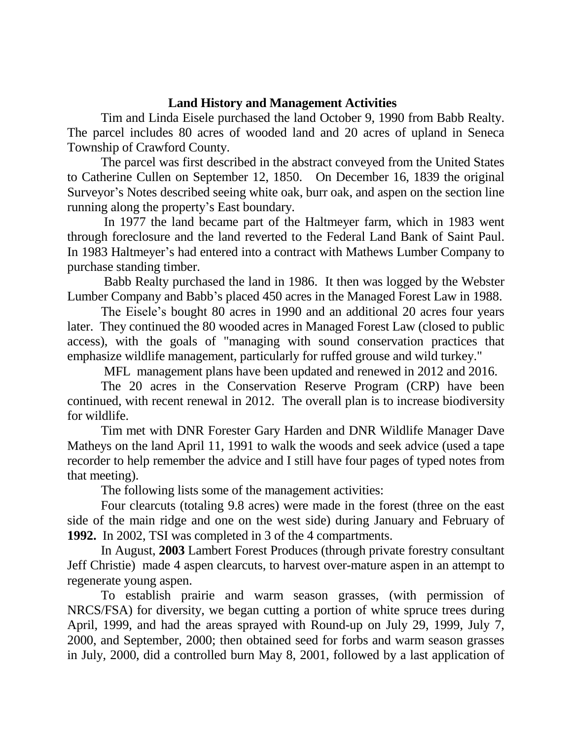## **Land History and Management Activities**

Tim and Linda Eisele purchased the land October 9, 1990 from Babb Realty. The parcel includes 80 acres of wooded land and 20 acres of upland in Seneca Township of Crawford County.

The parcel was first described in the abstract conveyed from the United States to Catherine Cullen on September 12, 1850. On December 16, 1839 the original Surveyor's Notes described seeing white oak, burr oak, and aspen on the section line running along the property's East boundary.

In 1977 the land became part of the Haltmeyer farm, which in 1983 went through foreclosure and the land reverted to the Federal Land Bank of Saint Paul. In 1983 Haltmeyer's had entered into a contract with Mathews Lumber Company to purchase standing timber.

Babb Realty purchased the land in 1986. It then was logged by the Webster Lumber Company and Babb's placed 450 acres in the Managed Forest Law in 1988.

The Eisele's bought 80 acres in 1990 and an additional 20 acres four years later. They continued the 80 wooded acres in Managed Forest Law (closed to public access), with the goals of "managing with sound conservation practices that emphasize wildlife management, particularly for ruffed grouse and wild turkey."

MFL management plans have been updated and renewed in 2012 and 2016.

The 20 acres in the Conservation Reserve Program (CRP) have been continued, with recent renewal in 2012. The overall plan is to increase biodiversity for wildlife.

Tim met with DNR Forester Gary Harden and DNR Wildlife Manager Dave Matheys on the land April 11, 1991 to walk the woods and seek advice (used a tape recorder to help remember the advice and I still have four pages of typed notes from that meeting).

The following lists some of the management activities:

Four clearcuts (totaling 9.8 acres) were made in the forest (three on the east side of the main ridge and one on the west side) during January and February of **1992.** In 2002, TSI was completed in 3 of the 4 compartments.

In August, **2003** Lambert Forest Produces (through private forestry consultant Jeff Christie) made 4 aspen clearcuts, to harvest over-mature aspen in an attempt to regenerate young aspen.

To establish prairie and warm season grasses, (with permission of NRCS/FSA) for diversity, we began cutting a portion of white spruce trees during April, 1999, and had the areas sprayed with Round-up on July 29, 1999, July 7, 2000, and September, 2000; then obtained seed for forbs and warm season grasses in July, 2000, did a controlled burn May 8, 2001, followed by a last application of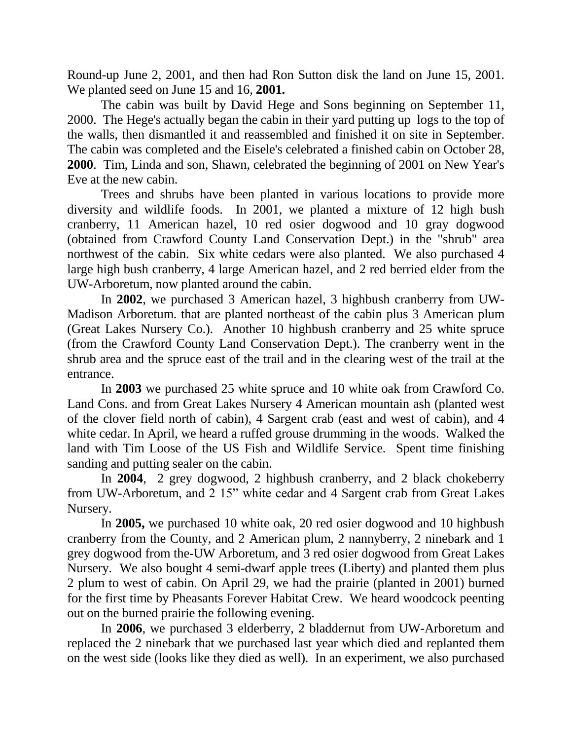Round-up June 2, 2001, and then had Ron Sutton disk the land on June 15, 2001. We planted seed on June 15 and 16, **2001.**

The cabin was built by David Hege and Sons beginning on September 11, 2000. The Hege's actually began the cabin in their yard putting up logs to the top of the walls, then dismantled it and reassembled and finished it on site in September. The cabin was completed and the Eisele's celebrated a finished cabin on October 28, **2000**. Tim, Linda and son, Shawn, celebrated the beginning of 2001 on New Year's Eve at the new cabin.

Trees and shrubs have been planted in various locations to provide more diversity and wildlife foods. In 2001, we planted a mixture of 12 high bush cranberry, 11 American hazel, 10 red osier dogwood and 10 gray dogwood (obtained from Crawford County Land Conservation Dept.) in the "shrub" area northwest of the cabin. Six white cedars were also planted. We also purchased 4 large high bush cranberry, 4 large American hazel, and 2 red berried elder from the UW-Arboretum, now planted around the cabin.

In **2002**, we purchased 3 American hazel, 3 highbush cranberry from UW-Madison Arboretum. that are planted northeast of the cabin plus 3 American plum (Great Lakes Nursery Co.). Another 10 highbush cranberry and 25 white spruce (from the Crawford County Land Conservation Dept.). The cranberry went in the shrub area and the spruce east of the trail and in the clearing west of the trail at the entrance.

In **2003** we purchased 25 white spruce and 10 white oak from Crawford Co. Land Cons. and from Great Lakes Nursery 4 American mountain ash (planted west of the clover field north of cabin), 4 Sargent crab (east and west of cabin), and 4 white cedar. In April, we heard a ruffed grouse drumming in the woods. Walked the land with Tim Loose of the US Fish and Wildlife Service. Spent time finishing sanding and putting sealer on the cabin.

In **2004**, 2 grey dogwood, 2 highbush cranberry, and 2 black chokeberry from UW-Arboretum, and 2 15" white cedar and 4 Sargent crab from Great Lakes Nursery.

In **2005,** we purchased 10 white oak, 20 red osier dogwood and 10 highbush cranberry from the County, and 2 American plum, 2 nannyberry, 2 ninebark and 1 grey dogwood from the-UW Arboretum, and 3 red osier dogwood from Great Lakes Nursery. We also bought 4 semi-dwarf apple trees (Liberty) and planted them plus 2 plum to west of cabin. On April 29, we had the prairie (planted in 2001) burned for the first time by Pheasants Forever Habitat Crew. We heard woodcock peenting out on the burned prairie the following evening.

In **2006**, we purchased 3 elderberry, 2 bladdernut from UW-Arboretum and replaced the 2 ninebark that we purchased last year which died and replanted them on the west side (looks like they died as well). In an experiment, we also purchased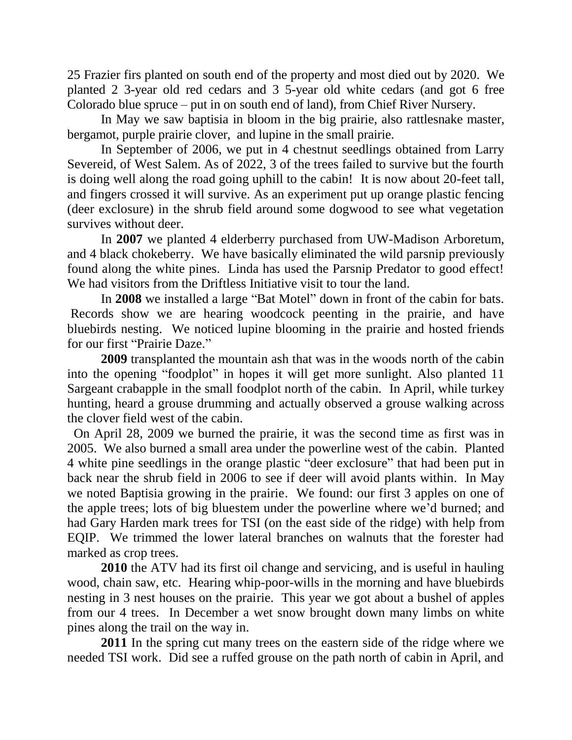25 Frazier firs planted on south end of the property and most died out by 2020. We planted 2 3-year old red cedars and 3 5-year old white cedars (and got 6 free Colorado blue spruce – put in on south end of land), from Chief River Nursery.

In May we saw baptisia in bloom in the big prairie, also rattlesnake master, bergamot, purple prairie clover, and lupine in the small prairie.

In September of 2006, we put in 4 chestnut seedlings obtained from Larry Severeid, of West Salem. As of 2022, 3 of the trees failed to survive but the fourth is doing well along the road going uphill to the cabin! It is now about 20-feet tall, and fingers crossed it will survive. As an experiment put up orange plastic fencing (deer exclosure) in the shrub field around some dogwood to see what vegetation survives without deer.

In **2007** we planted 4 elderberry purchased from UW-Madison Arboretum, and 4 black chokeberry. We have basically eliminated the wild parsnip previously found along the white pines. Linda has used the Parsnip Predator to good effect! We had visitors from the Driftless Initiative visit to tour the land.

In **2008** we installed a large "Bat Motel" down in front of the cabin for bats. Records show we are hearing woodcock peenting in the prairie, and have bluebirds nesting. We noticed lupine blooming in the prairie and hosted friends for our first "Prairie Daze."

**2009** transplanted the mountain ash that was in the woods north of the cabin into the opening "foodplot" in hopes it will get more sunlight. Also planted 11 Sargeant crabapple in the small foodplot north of the cabin. In April, while turkey hunting, heard a grouse drumming and actually observed a grouse walking across the clover field west of the cabin.

 On April 28, 2009 we burned the prairie, it was the second time as first was in 2005. We also burned a small area under the powerline west of the cabin. Planted 4 white pine seedlings in the orange plastic "deer exclosure" that had been put in back near the shrub field in 2006 to see if deer will avoid plants within. In May we noted Baptisia growing in the prairie. We found: our first 3 apples on one of the apple trees; lots of big bluestem under the powerline where we'd burned; and had Gary Harden mark trees for TSI (on the east side of the ridge) with help from EQIP. We trimmed the lower lateral branches on walnuts that the forester had marked as crop trees.

**2010** the ATV had its first oil change and servicing, and is useful in hauling wood, chain saw, etc. Hearing whip-poor-wills in the morning and have bluebirds nesting in 3 nest houses on the prairie. This year we got about a bushel of apples from our 4 trees. In December a wet snow brought down many limbs on white pines along the trail on the way in.

**2011** In the spring cut many trees on the eastern side of the ridge where we needed TSI work. Did see a ruffed grouse on the path north of cabin in April, and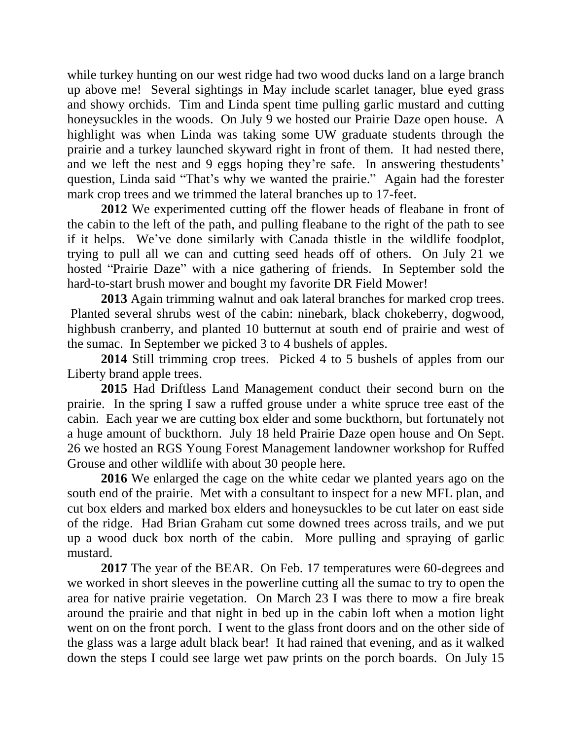while turkey hunting on our west ridge had two wood ducks land on a large branch up above me! Several sightings in May include scarlet tanager, blue eyed grass and showy orchids. Tim and Linda spent time pulling garlic mustard and cutting honeysuckles in the woods. On July 9 we hosted our Prairie Daze open house. A highlight was when Linda was taking some UW graduate students through the prairie and a turkey launched skyward right in front of them. It had nested there, and we left the nest and 9 eggs hoping they're safe. In answering thestudents' question, Linda said "That's why we wanted the prairie." Again had the forester mark crop trees and we trimmed the lateral branches up to 17-feet.

**2012** We experimented cutting off the flower heads of fleabane in front of the cabin to the left of the path, and pulling fleabane to the right of the path to see if it helps. We've done similarly with Canada thistle in the wildlife foodplot, trying to pull all we can and cutting seed heads off of others. On July 21 we hosted "Prairie Daze" with a nice gathering of friends. In September sold the hard-to-start brush mower and bought my favorite DR Field Mower!

**2013** Again trimming walnut and oak lateral branches for marked crop trees. Planted several shrubs west of the cabin: ninebark, black chokeberry, dogwood, highbush cranberry, and planted 10 butternut at south end of prairie and west of the sumac. In September we picked 3 to 4 bushels of apples.

**2014** Still trimming crop trees. Picked 4 to 5 bushels of apples from our Liberty brand apple trees.

**2015** Had Driftless Land Management conduct their second burn on the prairie. In the spring I saw a ruffed grouse under a white spruce tree east of the cabin. Each year we are cutting box elder and some buckthorn, but fortunately not a huge amount of buckthorn. July 18 held Prairie Daze open house and On Sept. 26 we hosted an RGS Young Forest Management landowner workshop for Ruffed Grouse and other wildlife with about 30 people here.

**2016** We enlarged the cage on the white cedar we planted years ago on the south end of the prairie. Met with a consultant to inspect for a new MFL plan, and cut box elders and marked box elders and honeysuckles to be cut later on east side of the ridge. Had Brian Graham cut some downed trees across trails, and we put up a wood duck box north of the cabin. More pulling and spraying of garlic mustard.

**2017** The year of the BEAR. On Feb. 17 temperatures were 60-degrees and we worked in short sleeves in the powerline cutting all the sumac to try to open the area for native prairie vegetation. On March 23 I was there to mow a fire break around the prairie and that night in bed up in the cabin loft when a motion light went on on the front porch. I went to the glass front doors and on the other side of the glass was a large adult black bear! It had rained that evening, and as it walked down the steps I could see large wet paw prints on the porch boards. On July 15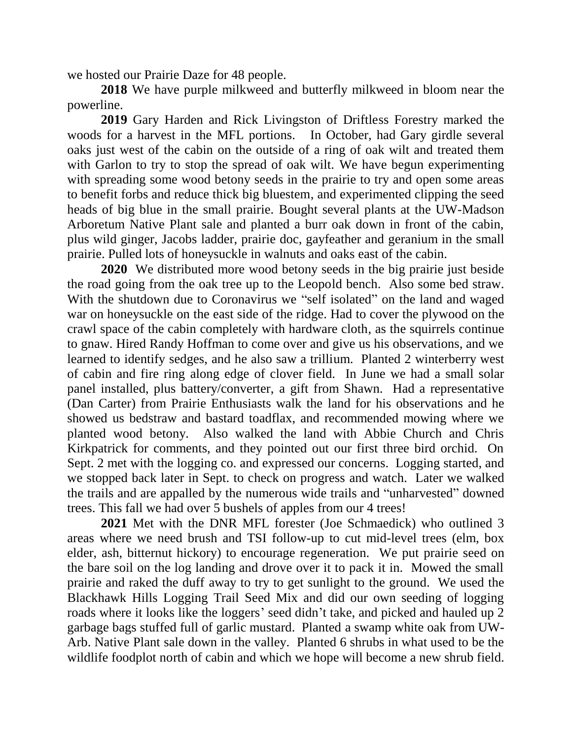we hosted our Prairie Daze for 48 people.

**2018** We have purple milkweed and butterfly milkweed in bloom near the powerline.

**2019** Gary Harden and Rick Livingston of Driftless Forestry marked the woods for a harvest in the MFL portions. In October, had Gary girdle several oaks just west of the cabin on the outside of a ring of oak wilt and treated them with Garlon to try to stop the spread of oak wilt. We have begun experimenting with spreading some wood betony seeds in the prairie to try and open some areas to benefit forbs and reduce thick big bluestem, and experimented clipping the seed heads of big blue in the small prairie. Bought several plants at the UW-Madson Arboretum Native Plant sale and planted a burr oak down in front of the cabin, plus wild ginger, Jacobs ladder, prairie doc, gayfeather and geranium in the small prairie. Pulled lots of honeysuckle in walnuts and oaks east of the cabin.

**2020** We distributed more wood betony seeds in the big prairie just beside the road going from the oak tree up to the Leopold bench. Also some bed straw. With the shutdown due to Coronavirus we "self isolated" on the land and waged war on honeysuckle on the east side of the ridge. Had to cover the plywood on the crawl space of the cabin completely with hardware cloth, as the squirrels continue to gnaw. Hired Randy Hoffman to come over and give us his observations, and we learned to identify sedges, and he also saw a trillium. Planted 2 winterberry west of cabin and fire ring along edge of clover field. In June we had a small solar panel installed, plus battery/converter, a gift from Shawn. Had a representative (Dan Carter) from Prairie Enthusiasts walk the land for his observations and he showed us bedstraw and bastard toadflax, and recommended mowing where we planted wood betony. Also walked the land with Abbie Church and Chris Kirkpatrick for comments, and they pointed out our first three bird orchid. On Sept. 2 met with the logging co. and expressed our concerns. Logging started, and we stopped back later in Sept. to check on progress and watch. Later we walked the trails and are appalled by the numerous wide trails and "unharvested" downed trees. This fall we had over 5 bushels of apples from our 4 trees!

**2021** Met with the DNR MFL forester (Joe Schmaedick) who outlined 3 areas where we need brush and TSI follow-up to cut mid-level trees (elm, box elder, ash, bitternut hickory) to encourage regeneration. We put prairie seed on the bare soil on the log landing and drove over it to pack it in. Mowed the small prairie and raked the duff away to try to get sunlight to the ground. We used the Blackhawk Hills Logging Trail Seed Mix and did our own seeding of logging roads where it looks like the loggers' seed didn't take, and picked and hauled up 2 garbage bags stuffed full of garlic mustard. Planted a swamp white oak from UW-Arb. Native Plant sale down in the valley. Planted 6 shrubs in what used to be the wildlife foodplot north of cabin and which we hope will become a new shrub field.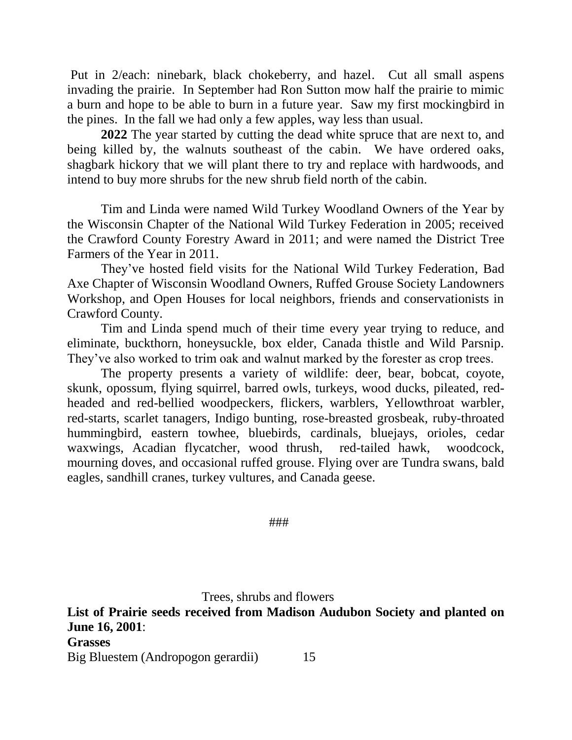Put in 2/each: ninebark, black chokeberry, and hazel. Cut all small aspens invading the prairie. In September had Ron Sutton mow half the prairie to mimic a burn and hope to be able to burn in a future year. Saw my first mockingbird in the pines. In the fall we had only a few apples, way less than usual.

**2022** The year started by cutting the dead white spruce that are next to, and being killed by, the walnuts southeast of the cabin. We have ordered oaks, shagbark hickory that we will plant there to try and replace with hardwoods, and intend to buy more shrubs for the new shrub field north of the cabin.

Tim and Linda were named Wild Turkey Woodland Owners of the Year by the Wisconsin Chapter of the National Wild Turkey Federation in 2005; received the Crawford County Forestry Award in 2011; and were named the District Tree Farmers of the Year in 2011.

They've hosted field visits for the National Wild Turkey Federation, Bad Axe Chapter of Wisconsin Woodland Owners, Ruffed Grouse Society Landowners Workshop, and Open Houses for local neighbors, friends and conservationists in Crawford County.

Tim and Linda spend much of their time every year trying to reduce, and eliminate, buckthorn, honeysuckle, box elder, Canada thistle and Wild Parsnip. They've also worked to trim oak and walnut marked by the forester as crop trees.

The property presents a variety of wildlife: deer, bear, bobcat, coyote, skunk, opossum, flying squirrel, barred owls, turkeys, wood ducks, pileated, redheaded and red-bellied woodpeckers, flickers, warblers, Yellowthroat warbler, red-starts, scarlet tanagers, Indigo bunting, rose-breasted grosbeak, ruby-throated hummingbird, eastern towhee, bluebirds, cardinals, bluejays, orioles, cedar waxwings, Acadian flycatcher, wood thrush, red-tailed hawk, woodcock, mourning doves, and occasional ruffed grouse. Flying over are Tundra swans, bald eagles, sandhill cranes, turkey vultures, and Canada geese.

###

Trees, shrubs and flowers

**List of Prairie seeds received from Madison Audubon Society and planted on June 16, 2001**: **Grasses** Big Bluestem (Andropogon gerardii) 15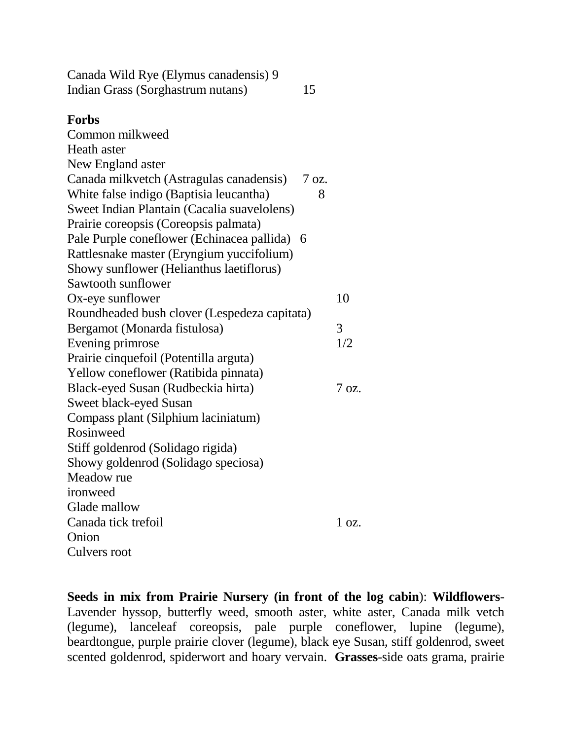Canada Wild Rye (Elymus canadensis) 9 Indian Grass (Sorghastrum nutans) 15

## **Forbs**

Common milkweed Heath aster New England aster Canada milkvetch (Astragulas canadensis) 7 oz. White false indigo (Baptisia leucantha) 8 Sweet Indian Plantain (Cacalia suavelolens) Prairie coreopsis (Coreopsis palmata) Pale Purple coneflower (Echinacea pallida) 6 Rattlesnake master (Eryngium yuccifolium) Showy sunflower (Helianthus laetiflorus) Sawtooth sunflower Ox-eye sunflower 10 Roundheaded bush clover (Lespedeza capitata) Bergamot (Monarda fistulosa) 3 Evening primrose 1/2 Prairie cinquefoil (Potentilla arguta) Yellow coneflower (Ratibida pinnata) Black-eyed Susan (Rudbeckia hirta) 7 oz. Sweet black-eyed Susan Compass plant (Silphium laciniatum) Rosinweed Stiff goldenrod (Solidago rigida) Showy goldenrod (Solidago speciosa) Meadow rue ironweed Glade mallow Canada tick trefoil 1 oz. **Onion** Culvers root

**Seeds in mix from Prairie Nursery (in front of the log cabin**): **Wildflowers**-Lavender hyssop, butterfly weed, smooth aster, white aster, Canada milk vetch (legume), lanceleaf coreopsis, pale purple coneflower, lupine (legume), beardtongue, purple prairie clover (legume), black eye Susan, stiff goldenrod, sweet scented goldenrod, spiderwort and hoary vervain. **Grasses**-side oats grama, prairie